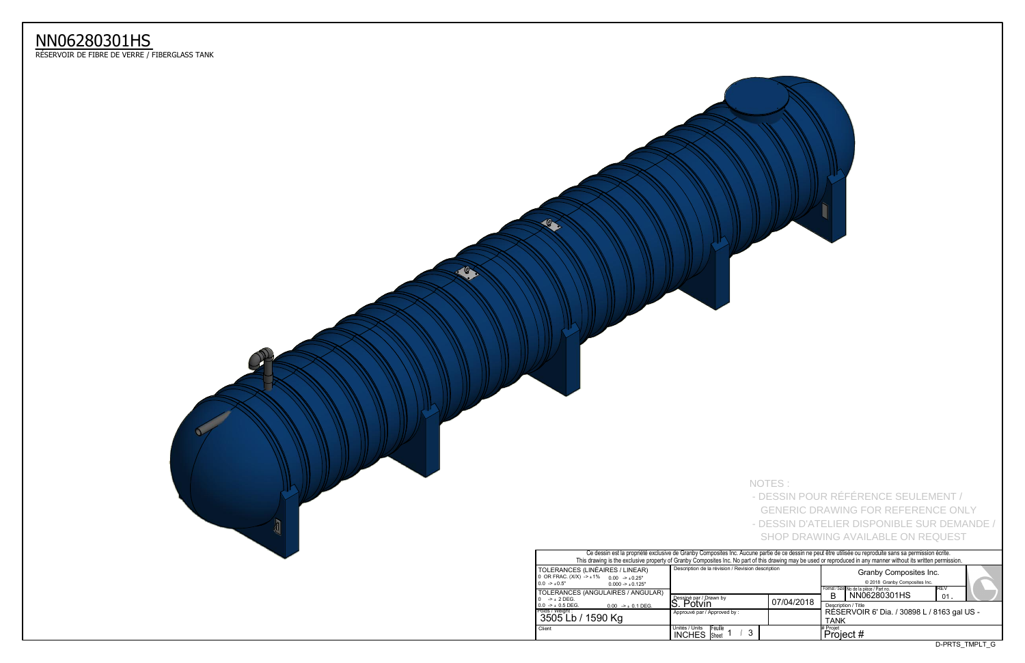| Ce dessin est la propriété exclusive de Granby Composites Inc. Aucune partie de ce dessin ne peut être utilisée ou reproduite sans sa permission écrite.<br>This drawing is the exclusive property of Granby Composites Inc. No part of this drawing may be used or reproduced in any manner without its written permission. |                                                                  |            |                                                                                                            |                |  |  |  |  |  |  |  |  |
|------------------------------------------------------------------------------------------------------------------------------------------------------------------------------------------------------------------------------------------------------------------------------------------------------------------------------|------------------------------------------------------------------|------------|------------------------------------------------------------------------------------------------------------|----------------|--|--|--|--|--|--|--|--|
| S (LINÉAIRES / LINEAR)<br>$(X)$ -> $\pm$ 1% 0.00 -> $\pm$ 0.25"<br>$0.000 - 1.001 - 1.001$<br>S (ANGULAIRES / ANGULAR)                                                                                                                                                                                                       | Description de la révision / Revision description                |            | Granby Composites Inc.<br>© 2018 Granby Composites Inc.<br>IREV<br>Format / Size No de la pièce / Part no. |                |  |  |  |  |  |  |  |  |
|                                                                                                                                                                                                                                                                                                                              | Dessiné par / Drawn by<br>S. Potvin                              | 07/04/2018 | NN06280301HS<br>в<br>01                                                                                    |                |  |  |  |  |  |  |  |  |
| $0.00$ -> $\pm$ 0.1 DEG.<br>/ 1590 Kg                                                                                                                                                                                                                                                                                        | Approuvé par / Approved by:                                      |            | Description / Title<br>RÉSERVOIR 6' Dia. / 30898 L / 8163 gal US -<br><b>TANK</b>                          |                |  |  |  |  |  |  |  |  |
|                                                                                                                                                                                                                                                                                                                              | Unités / Units<br><b>IFeuille</b><br>3<br><b>INCHES</b><br>Sheet |            | # Projet<br>Project #                                                                                      |                |  |  |  |  |  |  |  |  |
|                                                                                                                                                                                                                                                                                                                              |                                                                  |            |                                                                                                            | D-PRTS TMPLT G |  |  |  |  |  |  |  |  |

|                                                                                                                                | Ce dessin est la propriété exclusive de Granby Composites Inc. Aucune partie de ce dessin ne peut être u<br>This drawing is the exclusive property of Granby Composites Inc. No part of this drawing may be used or repro |  |                     |  |  |  |  |
|--------------------------------------------------------------------------------------------------------------------------------|---------------------------------------------------------------------------------------------------------------------------------------------------------------------------------------------------------------------------|--|---------------------|--|--|--|--|
| TOLERANCES (LINÉAIRES / LINEAR)<br>0 OR FRAC. (X/X) -> ±1% 0.00 -> ±0.25"<br>$0.0 \rightarrow 0.5"$<br>$0.000 - 1.000 - 1.000$ | Description de la révision / Revision description                                                                                                                                                                         |  |                     |  |  |  |  |
| TOLERANCES (ANGULAIRES / ANGULAR)<br>$0 \rightarrow +2$ DEG.                                                                   | Dessiné par / Drawn by<br>07/04/2018<br>S. Potvin                                                                                                                                                                         |  |                     |  |  |  |  |
| $0.0 \rightarrow \pm 0.5$ DEG.<br>$0.00$ -> $\pm$ 0.1 DEG.<br>Poids / Weight :<br>3505 Lb / 1590 Kg                            | Approuvé par / Approved by :                                                                                                                                                                                              |  | Descr<br>RÉS<br>TAN |  |  |  |  |
| Client                                                                                                                         | Unités / Units<br><b>IFeuille</b><br><b>INCHES</b><br><b>Sheet</b>                                                                                                                                                        |  | # Projet<br>Pro     |  |  |  |  |

 $\mathcal{L}$ 



## NN06280301HS

ReSERVOIR DE FIBRE DE VERRE / FIBERGLASS TANK

NOTES : - DESSIN POUR RÉFÉRENCE SEULEMENT / GENERIC DRAWING FOR REFERENCE ONLY - DESSIN D'ATELIER DISPONIBLE SUR DEMANDE /

SHOP DRAWING AVAILABLE ON REQUEST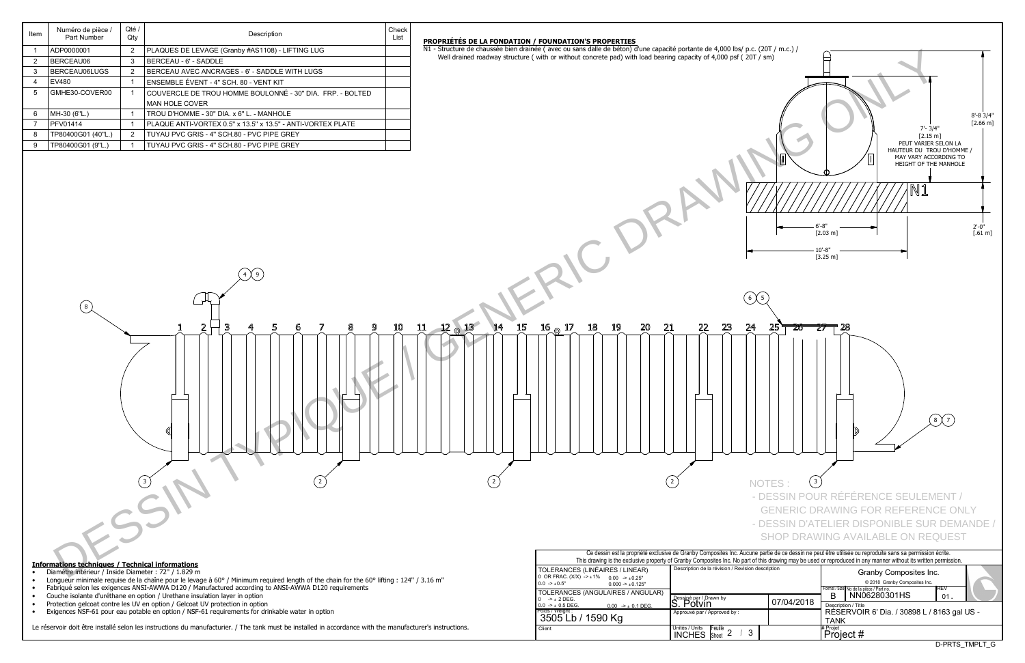| Item | Numéro de pièce /<br>Part Number | Oté /<br>Qty | Description                                                 |  |  |  |
|------|----------------------------------|--------------|-------------------------------------------------------------|--|--|--|
|      | ADP0000001                       | 2            | PLAQUES DE LEVAGE (Granby #AS1108) - LIFTING LUG            |  |  |  |
| 2    | BERCEAU06                        | 3            | BERCEAU - 6' - SADDLE                                       |  |  |  |
| 3    | BERCEAU06LUGS                    | 2            | BERCEAU AVEC ANCRAGES - 6' - SADDLE WITH LUGS               |  |  |  |
| 4    | EV480                            |              | ENSEMBLE ÉVENT - 4" SCH. 80 - VENT KIT                      |  |  |  |
| 5    | GMHE30-COVER00                   |              | COUVERCLE DE TROU HOMME BOULONNÉ - 30" DIA. FRP. - BOLTED   |  |  |  |
|      |                                  |              | <b>MAN HOLE COVER</b>                                       |  |  |  |
| 6    | MH-30 (6"L.)                     |              | TROU D'HOMME - 30" DIA. x 6" L. - MANHOLE                   |  |  |  |
| 7    | <b>PFV01414</b>                  |              | PLAQUE ANTI-VORTEX 0.5" x 13.5" x 13.5" - ANTI-VORTEX PLATE |  |  |  |
| 8    | TP80400G01 (40"L.)               | 2            | TUYAU PVC GRIS - 4" SCH.80 - PVC PIPE GREY                  |  |  |  |
| 9    | TP80400G01 (9"L.)                |              | TUYAU PVC GRIS - 4" SCH.80 - PVC PIPE GREY                  |  |  |  |
|      |                                  |              |                                                             |  |  |  |

- Diamètre intérieur / Inside Diameter : 72" / 1.829 m
- Longueur minimale requise de la chaîne pour le levage à 60° / Minimum required length of the chain for the 60° lifting : 124" / 3.16 m"
- Fabriqué selon les exigences ANSI-AWWA D120 / Manufactured according to ANSI-AWWA D120 requirements
- Couche isolante d'uréthane en option / Urethane insulation layer in option
- Protection gelcoat contre les UV en option / Gelcoat UV protection in option
- Exigences NSF-61 pour eau potable en option / NSF-61 requirements for drinkable water in option

Le réservoir doit être installé selon les instructions du manufacturier. / The tank must be installed in accordance with the manufacturer's instructions.

| TOLERANCES (LINÉAIRES / LINEAR)<br>0 OR FRAC. (X/X) -> ±1% 0.00 -> ±0.25"<br>$0.0 \rightarrow 0.5"$<br>$0.000 - 1.000 - 1.000$ | Description de la révision / Revision description                        |            |                 |  |  |  |  |
|--------------------------------------------------------------------------------------------------------------------------------|--------------------------------------------------------------------------|------------|-----------------|--|--|--|--|
| TOLERANCES (ANGULAIRES / ANGULAR)<br>$0 \rightarrow \pm 2$ DEG.                                                                | Dessiné par / Drawn by                                                   | 07/04/2018 | Format / S<br>В |  |  |  |  |
| $0.0$ -> $\pm$ 0.5 DEG.<br>$0.00$ -> $\pm$ 0.1 DEG.                                                                            | Potvin                                                                   |            | Descr           |  |  |  |  |
| Poids / Weight :<br>3505 Lb / 1590 Kg                                                                                          | Approuvé par / Approved by:                                              |            | RES<br>TAN      |  |  |  |  |
| Client                                                                                                                         | Unités / Units<br><b>IFeuille</b><br>-3<br><b>INCHES</b><br><b>Sheet</b> |            | # Projet<br>∙ro |  |  |  |  |





## **PROPRIeTeS DE LA FONDATION / FOUNDATION'S PROPERTIES**

N1 - Structure de chaussée bien drainée (avec ou sans dalle de béton) d'une capacité portante de 4,000 lbs/ p.c. (20T / m.c.) / Well drained roadway structure ( with or without concrete pad) with load bearing capacity of 4,000 psf (20T / sm)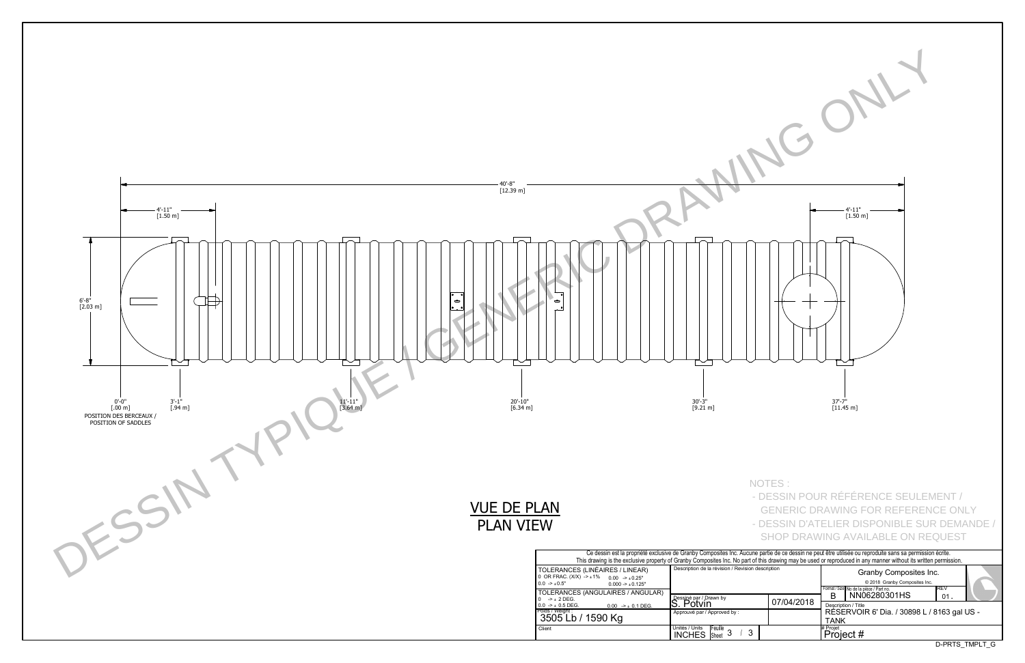D-PRTS\_TMPLT\_G